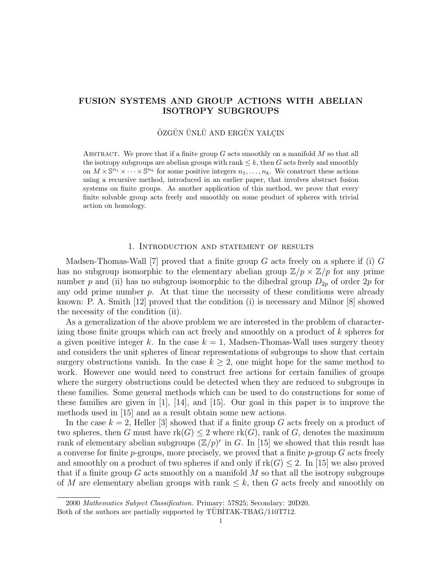# FUSION SYSTEMS AND GROUP ACTIONS WITH ABELIAN ISOTROPY SUBGROUPS

## ÖZGÜN ÜNLÜ AND ERGÜN YALÇIN

ABSTRACT. We prove that if a finite group  $G$  acts smoothly on a manifold  $M$  so that all the isotropy subgroups are abelian groups with rank  $\leq k$ , then G acts freely and smoothly on  $M \times \mathbb{S}^{n_1} \times \cdots \times \mathbb{S}^{n_k}$  for some positive integers  $n_1, \ldots, n_k$ . We construct these actions using a recursive method, introduced in an earlier paper, that involves abstract fusion systems on finite groups. As another application of this method, we prove that every finite solvable group acts freely and smoothly on some product of spheres with trivial action on homology.

### 1. Introduction and statement of results

Madsen-Thomas-Wall [7] proved that a finite group  $G$  acts freely on a sphere if (i)  $G$ has no subgroup isomorphic to the elementary abelian group  $\mathbb{Z}/p \times \mathbb{Z}/p$  for any prime number p and (ii) has no subgroup isomorphic to the dihedral group  $D_{2p}$  of order  $2p$  for any odd prime number  $p$ . At that time the necessity of these conditions were already known: P. A. Smith [12] proved that the condition (i) is necessary and Milnor [8] showed the necessity of the condition (ii).

As a generalization of the above problem we are interested in the problem of characterizing those finite groups which can act freely and smoothly on a product of k spheres for a given positive integer k. In the case  $k = 1$ , Madsen-Thomas-Wall uses surgery theory and considers the unit spheres of linear representations of subgroups to show that certain surgery obstructions vanish. In the case  $k \geq 2$ , one might hope for the same method to work. However one would need to construct free actions for certain families of groups where the surgery obstructions could be detected when they are reduced to subgroups in these families. Some general methods which can be used to do constructions for some of these families are given in [1], [14], and [15]. Our goal in this paper is to improve the methods used in [15] and as a result obtain some new actions.

In the case  $k = 2$ , Heller [3] showed that if a finite group G acts freely on a product of two spheres, then G must have  $rk(G) \leq 2$  where  $rk(G)$ , rank of G, denotes the maximum rank of elementary abelian subgroups  $(\mathbb{Z}/p)^r$  in G. In [15] we showed that this result has a converse for finite  $p$ -groups, more precisely, we proved that a finite  $p$ -group  $G$  acts freely and smoothly on a product of two spheres if and only if  $rk(G) \leq 2$ . In [15] we also proved that if a finite group  $G$  acts smoothly on a manifold  $M$  so that all the isotropy subgroups of M are elementary abelian groups with rank  $\leq k$ , then G acts freely and smoothly on

<sup>2000</sup> Mathematics Subject Classification. Primary: 57S25; Secondary: 20D20. Both of the authors are partially supported by  $\overline{TUBITAK-TBAG}/110T712$ .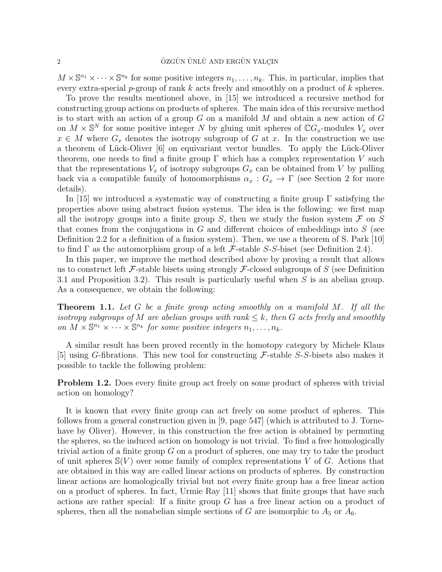$M \times \mathbb{S}^{n_1} \times \cdots \times \mathbb{S}^{n_k}$  for some positive integers  $n_1, \ldots, n_k$ . This, in particular, implies that every extra-special p-group of rank  $k$  acts freely and smoothly on a product of  $k$  spheres.

To prove the results mentioned above, in [15] we introduced a recursive method for constructing group actions on products of spheres. The main idea of this recursive method is to start with an action of a group  $G$  on a manifold  $M$  and obtain a new action of  $G$ on  $M \times \mathbb{S}^N$  for some positive integer N by gluing unit spheres of  $\mathbb{C}G_x$ -modules  $V_x$  over  $x \in M$  where  $G_x$  denotes the isotropy subgroup of G at x. In the construction we use a theorem of Lück-Oliver [6] on equivariant vector bundles. To apply the Lück-Oliver theorem, one needs to find a finite group  $\Gamma$  which has a complex representation V such that the representations  $V_x$  of isotropy subgroups  $G_x$  can be obtained from V by pulling back via a compatible family of homomorphisms  $\alpha_x : G_x \to \Gamma$  (see Section 2 for more details).

In [15] we introduced a systematic way of constructing a finite group  $\Gamma$  satisfying the properties above using abstract fusion systems. The idea is the following: we first map all the isotropy groups into a finite group S, then we study the fusion system  $\mathcal F$  on S that comes from the conjugations in  $G$  and different choices of embeddings into  $S$  (see Definition 2.2 for a definition of a fusion system). Then, we use a theorem of S. Park [10] to find  $\Gamma$  as the automorphism group of a left  $\mathcal F$ -stable S-S-biset (see Definition 2.4).

In this paper, we improve the method described above by proving a result that allows us to construct left  $\mathcal F$ -stable bisets using strongly  $\mathcal F$ -closed subgroups of  $S$  (see Definition 3.1 and Proposition 3.2). This result is particularly useful when S is an abelian group. As a consequence, we obtain the following:

**Theorem 1.1.** Let G be a finite group acting smoothly on a manifold M. If all the isotropy subgroups of M are abelian groups with rank  $\leq k$ , then G acts freely and smoothly on  $M \times \mathbb{S}^{n_1} \times \cdots \times \mathbb{S}^{n_k}$  for some positive integers  $n_1, \ldots, n_k$ .

A similar result has been proved recently in the homotopy category by Michele Klaus [5] using G-fibrations. This new tool for constructing  $\mathcal{F}\text{-stable}$  S-S-bisets also makes it possible to tackle the following problem:

**Problem 1.2.** Does every finite group act freely on some product of spheres with trivial action on homology?

It is known that every finite group can act freely on some product of spheres. This follows from a general construction given in [9, page 547] (which is attributed to J. Tornehave by Oliver). However, in this construction the free action is obtained by permuting the spheres, so the induced action on homology is not trivial. To find a free homologically trivial action of a finite group  $G$  on a product of spheres, one may try to take the product of unit spheres  $\mathcal{S}(V)$  over some family of complex representations V of G. Actions that are obtained in this way are called linear actions on products of spheres. By construction linear actions are homologically trivial but not every finite group has a free linear action on a product of spheres. In fact, Urmie Ray [11] shows that finite groups that have such actions are rather special: If a finite group G has a free linear action on a product of spheres, then all the nonabelian simple sections of G are isomorphic to  $A_5$  or  $A_6$ .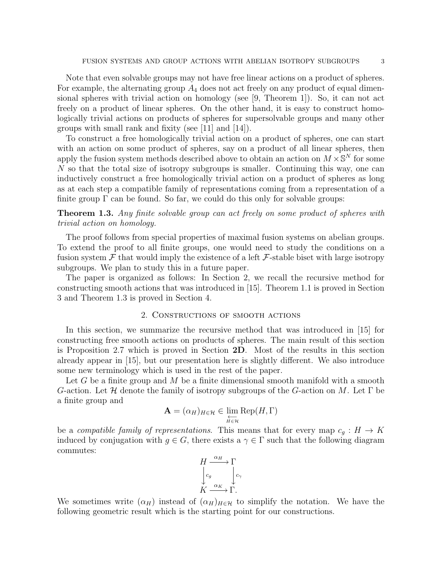Note that even solvable groups may not have free linear actions on a product of spheres. For example, the alternating group  $A_4$  does not act freely on any product of equal dimensional spheres with trivial action on homology (see [9, Theorem 1]). So, it can not act freely on a product of linear spheres. On the other hand, it is easy to construct homologically trivial actions on products of spheres for supersolvable groups and many other groups with small rank and fixity (see [11] and [14]).

To construct a free homologically trivial action on a product of spheres, one can start with an action on some product of spheres, say on a product of all linear spheres, then apply the fusion system methods described above to obtain an action on  $M \times \mathbb{S}^N$  for some N so that the total size of isotropy subgroups is smaller. Continuing this way, one can inductively construct a free homologically trivial action on a product of spheres as long as at each step a compatible family of representations coming from a representation of a finite group  $\Gamma$  can be found. So far, we could do this only for solvable groups:

**Theorem 1.3.** Any finite solvable group can act freely on some product of spheres with trivial action on homology.

The proof follows from special properties of maximal fusion systems on abelian groups. To extend the proof to all finite groups, one would need to study the conditions on a fusion system  $\mathcal F$  that would imply the existence of a left  $\mathcal F$ -stable biset with large isotropy subgroups. We plan to study this in a future paper.

The paper is organized as follows: In Section 2, we recall the recursive method for constructing smooth actions that was introduced in [15]. Theorem 1.1 is proved in Section 3 and Theorem 1.3 is proved in Section 4.

#### 2. Constructions of smooth actions

In this section, we summarize the recursive method that was introduced in [15] for constructing free smooth actions on products of spheres. The main result of this section is Proposition 2.7 which is proved in Section 2D. Most of the results in this section already appear in [15], but our presentation here is slightly different. We also introduce some new terminology which is used in the rest of the paper.

Let G be a finite group and M be a finite dimensional smooth manifold with a smooth G-action. Let H denote the family of isotropy subgroups of the G-action on M. Let  $\Gamma$  be a finite group and

$$
\mathbf{A} = (\alpha_H)_{H \in \mathcal{H}} \in \varprojlim_{H \in \mathcal{H}} \text{Rep}(H, \Gamma)
$$

be a *compatible family of representations*. This means that for every map  $c_q : H \to K$ induced by conjugation with  $g \in G$ , there exists a  $\gamma \in \Gamma$  such that the following diagram commutes:



We sometimes write  $(\alpha_H)$  instead of  $(\alpha_H)_{H \in \mathcal{H}}$  to simplify the notation. We have the following geometric result which is the starting point for our constructions.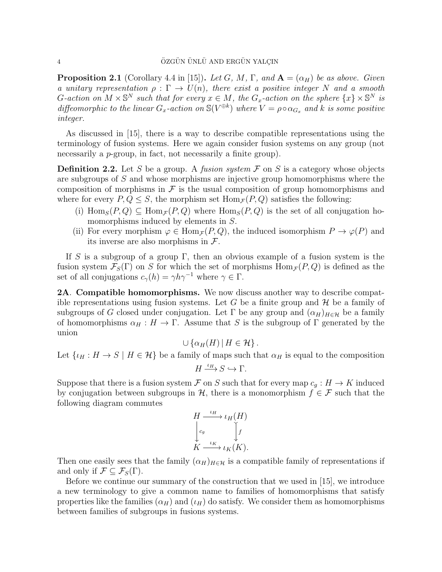**Proposition 2.1** (Corollary 4.4 in [15]). Let G, M,  $\Gamma$ , and  $\mathbf{A} = (\alpha_H)$  be as above. Given a unitary representation  $\rho : \Gamma \to U(n)$ , there exist a positive integer N and a smooth G-action on  $M \times \mathbb{S}^N$  such that for every  $x \in M$ , the  $G_x$ -action on the sphere  $\{x\} \times \mathbb{S}^N$  is diffeomorphic to the linear  $G_x$ -action on  $\mathbb{S}(V^{\oplus k})$  where  $V = \rho \circ \alpha_{G_x}$  and k is some positive integer.

As discussed in [15], there is a way to describe compatible representations using the terminology of fusion systems. Here we again consider fusion systems on any group (not necessarily a *p*-group, in fact, not necessarily a finite group).

**Definition 2.2.** Let S be a group. A *fusion system*  $\mathcal F$  on S is a category whose objects are subgroups of S and whose morphisms are injective group homomorphisms where the composition of morphisms in  $\mathcal F$  is the usual composition of group homomorphisms and where for every  $P, Q \leq S$ , the morphism set  $\text{Hom}_{\mathcal{F}}(P, Q)$  satisfies the following:

- (i)  $\text{Hom}_S(P,Q) \subseteq \text{Hom}_{\mathcal{F}}(P,Q)$  where  $\text{Hom}_S(P,Q)$  is the set of all conjugation homomorphisms induced by elements in S.
- (ii) For every morphism  $\varphi \in \text{Hom}_{\mathcal{F}}(P,Q)$ , the induced isomorphism  $P \to \varphi(P)$  and its inverse are also morphisms in  $\mathcal{F}$ .

If S is a subgroup of a group  $\Gamma$ , then an obvious example of a fusion system is the fusion system  $\mathcal{F}_S(\Gamma)$  on S for which the set of morphisms  $\text{Hom}_{\mathcal{F}}(P, Q)$  is defined as the set of all conjugations  $c_{\gamma}(h) = \gamma h \gamma^{-1}$  where  $\gamma \in \Gamma$ .

2A. Compatible homomorphisms. We now discuss another way to describe compatible representations using fusion systems. Let G be a finite group and  $\mathcal H$  be a family of subgroups of G closed under conjugation. Let  $\Gamma$  be any group and  $(\alpha_H)_{H \in \mathcal{H}}$  be a family of homomorphisms  $\alpha_H : H \to \Gamma$ . Assume that S is the subgroup of  $\Gamma$  generated by the union

 $\cup \{\alpha_H(H) | H \in \mathcal{H}\}.$ 

Let  $\{\iota_H: H \to S \mid H \in \mathcal{H}\}$  be a family of maps such that  $\alpha_H$  is equal to the composition

$$
H \xrightarrow{\iota_H} S \hookrightarrow \Gamma.
$$

Suppose that there is a fusion system F on S such that for every map  $c_g : H \to K$  induced by conjugation between subgroups in H, there is a monomorphism  $f \in \mathcal{F}$  such that the following diagram commutes

$$
H \xrightarrow{\iota_H} \iota_H(H)
$$
  
\n
$$
\downarrow_{c_g} \qquad \qquad \downarrow f
$$
  
\n
$$
K \xrightarrow{\iota_K} \iota_K(K).
$$

Then one easily sees that the family  $(\alpha_H)_{H \in \mathcal{H}}$  is a compatible family of representations if and only if  $\mathcal{F} \subseteq \mathcal{F}_S(\Gamma)$ .

Before we continue our summary of the construction that we used in [15], we introduce a new terminology to give a common name to families of homomorphisms that satisfy properties like the families  $(\alpha_H)$  and  $(\iota_H)$  do satisfy. We consider them as homomorphisms between families of subgroups in fusions systems.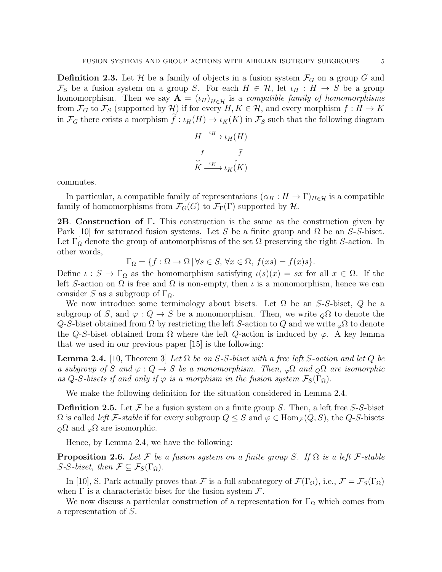**Definition 2.3.** Let  $\mathcal{H}$  be a family of objects in a fusion system  $\mathcal{F}_G$  on a group G and  $\mathcal{F}_S$  be a fusion system on a group S. For each  $H \in \mathcal{H}$ , let  $\iota_H : H \to S$  be a group homomorphism. Then we say  $\mathbf{A} = (\iota_H)_{H \in \mathcal{H}}$  is a compatible family of homomorphisms from  $\mathcal{F}_G$  to  $\mathcal{F}_S$  (supported by H) if for every  $H, K \in \mathcal{H}$ , and every morphism  $f : H \to K$ in  $\mathcal{F}_G$  there exists a morphism  $f: \iota_H(H) \to \iota_K(K)$  in  $\mathcal{F}_S$  such that the following diagram



commutes.

In particular, a compatible family of representations  $(\alpha_H : H \to \Gamma)_{H \in \mathcal{H}}$  is a compatible family of homomorphisms from  $\mathcal{F}_G(G)$  to  $\mathcal{F}_\Gamma(\Gamma)$  supported by  $\mathcal{H}$ .

**2B. Construction of Γ.** This construction is the same as the construction given by Park [10] for saturated fusion systems. Let S be a finite group and  $\Omega$  be an S-S-biset. Let  $\Gamma_{\Omega}$  denote the group of automorphisms of the set  $\Omega$  preserving the right S-action. In other words,

$$
\Gamma_{\Omega} = \{ f : \Omega \to \Omega \, | \, \forall s \in S, \, \forall x \in \Omega, \, f(xs) = f(x)s \}.
$$

Define  $\iota : S \to \Gamma_{\Omega}$  as the homomorphism satisfying  $\iota(s)(x) = sx$  for all  $x \in \Omega$ . If the left S-action on  $\Omega$  is free and  $\Omega$  is non-empty, then  $\iota$  is a monomorphism, hence we can consider S as a subgroup of  $\Gamma_{\Omega}$ .

We now introduce some terminology about bisets. Let  $\Omega$  be an S-S-biset, Q be a subgroup of S, and  $\varphi: Q \to S$  be a monomorphism. Then, we write  $\varphi \Omega$  to denote the Q-S-biset obtained from  $\Omega$  by restricting the left S-action to Q and we write  $\varphi \Omega$  to denote the Q-S-biset obtained from  $\Omega$  where the left Q-action is induced by  $\varphi$ . A key lemma that we used in our previous paper [15] is the following:

**Lemma 2.4.** [10, Theorem 3] Let  $\Omega$  be an S-S-biset with a free left S-action and let  $Q$  be a subgroup of S and  $\varphi: Q \to S$  be a monomorphism. Then,  $\varphi \Omega$  and  $\Omega \Omega$  are isomorphic as Q-S-bisets if and only if  $\varphi$  is a morphism in the fusion system  $\mathcal{F}_S(\Gamma_\Omega)$ .

We make the following definition for the situation considered in Lemma 2.4.

**Definition 2.5.** Let  $\mathcal F$  be a fusion system on a finite group S. Then, a left free S-S-biset  $\Omega$  is called *left* F-stable if for every subgroup  $Q \leq S$  and  $\varphi \in \text{Hom}_{\mathcal{F}}(Q, S)$ , the Q-S-bisets  $_{Q}\Omega$  and  $_{\varphi}\Omega$  are isomorphic.

Hence, by Lemma 2.4, we have the following:

**Proposition 2.6.** Let F be a fusion system on a finite group S. If  $\Omega$  is a left F-stable  $S\text{-}S\text{-}biset, then \mathcal{F} \subseteq \mathcal{F}_S(\Gamma_\Omega).$ 

In [10], S. Park actually proves that F is a full subcategory of  $\mathcal{F}(\Gamma_{\Omega})$ , i.e.,  $\mathcal{F} = \mathcal{F}_S(\Gamma_{\Omega})$ when  $\Gamma$  is a characteristic biset for the fusion system  $\mathcal{F}$ .

We now discuss a particular construction of a representation for  $\Gamma_{\Omega}$  which comes from a representation of S.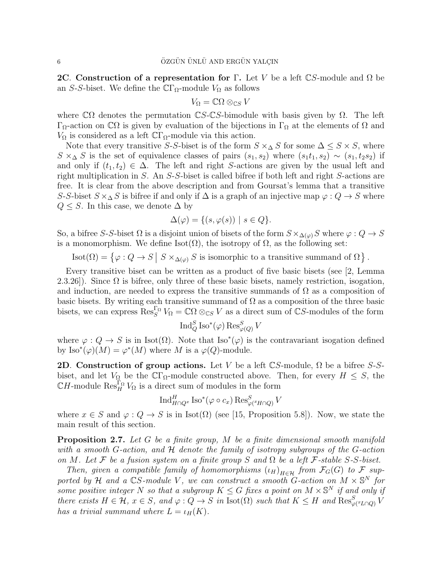**2C.** Construction of a representation for Γ. Let V be a left CS-module and  $\Omega$  be an S-S-biset. We define the  $\mathbb{C}\Gamma_{\Omega}$ -module  $V_{\Omega}$  as follows

$$
V_{\Omega} = \mathbb{C}\Omega \otimes_{\mathbb{C}S} V
$$

where  $\mathbb{C}\Omega$  denotes the permutation  $\mathbb{C}S$ - $\mathbb{C}S$ -bimodule with basis given by  $\Omega$ . The left Γ<sub>Ω</sub>-action on CΩ is given by evaluation of the bijections in Γ<sub>Ω</sub> at the elements of  $Ω$  and  $V_{\Omega}$  is considered as a left  $\mathbb{C} \Gamma_{\Omega}$ -module via this action.

Note that every transitive S-S-biset is of the form  $S \times_{\Delta} S$  for some  $\Delta \leq S \times S$ , where  $S \times \Delta S$  is the set of equivalence classes of pairs  $(s_1, s_2)$  where  $(s_1t_1, s_2) \sim (s_1, t_2s_2)$  if and only if  $(t_1, t_2) \in \Delta$ . The left and right S-actions are given by the usual left and right multiplication in S. An S-S-biset is called bifree if both left and right S-actions are free. It is clear from the above description and from Goursat's lemma that a transitive S-S-biset  $S \times_{\Delta} S$  is bifree if and only if  $\Delta$  is a graph of an injective map  $\varphi: Q \to S$  where  $Q \leq S$ . In this case, we denote  $\Delta$  by

$$
\Delta(\varphi) = \{ (s, \varphi(s)) \mid s \in Q \}.
$$

So, a bifree S-S-biset  $\Omega$  is a disjoint union of bisets of the form  $S \times_{\Delta(\varphi)} S$  where  $\varphi : Q \to S$ is a monomorphism. We define Isot( $\Omega$ ), the isotropy of  $\Omega$ , as the following set:

 $\text{Isot}(\Omega) = \left\{ \varphi : Q \to S \mid S \times_{\Delta(\varphi)} S \text{ is isomorphic to a transitive summand of } \Omega \right\}.$ 

Every transitive biset can be written as a product of five basic bisets (see [2, Lemma 2.3.26]). Since  $\Omega$  is bifree, only three of these basic bisets, namely restriction, isogation, and induction, are needed to express the transitive summands of  $\Omega$  as a composition of basic bisets. By writing each transitive summand of  $\Omega$  as a composition of the three basic bisets, we can express  $\operatorname{Res}_S^{\Gamma_{\Omega}} V_{\Omega} = \mathbb{C}\Omega \otimes_{\mathbb{C}S} V$  as a direct sum of  $\mathbb{C}S$ -modules of the form

$$
\operatorname{Ind}_Q^S \operatorname{Iso}^*(\varphi) \operatorname{Res}_{\varphi(Q)}^S V
$$

where  $\varphi: Q \to S$  is in Isot( $\Omega$ ). Note that Iso<sup>\*</sup>( $\varphi$ ) is the contravariant isogation defined by  $\text{Iso}^*(\varphi)(M) = \varphi^*(M)$  where M is a  $\varphi(Q)$ -module.

**2D. Construction of group actions.** Let V be a left  $\mathbb{C}S$ -module,  $\Omega$  be a bifree S-Sbiset, and let  $V_{\Omega}$  be the  $\mathbb{C}\Gamma_{\Omega}$ -module constructed above. Then, for every  $H \leq S$ , the  $\mathbb{C}H$ -module  $\operatorname{Res}^{\Gamma_{\Omega}}_H V_{\Omega}$  is a direct sum of modules in the form

$$
\operatorname{Ind}_{H\cap Q^x}^H \operatorname{Iso}^*(\varphi \circ c_x) \operatorname{Res}_{\varphi(^xH\cap Q)}^S V
$$

where  $x \in S$  and  $\varphi: Q \to S$  is in Isot( $\Omega$ ) (see [15, Proposition 5.8]). Now, we state the main result of this section.

**Proposition 2.7.** Let G be a finite group, M be a finite dimensional smooth manifold with a smooth G-action, and  $H$  denote the family of isotropy subgroups of the G-action on M. Let F be a fusion system on a finite group S and  $\Omega$  be a left F-stable S-S-biset.

Then, given a compatible family of homomorphisms  $(\iota_H)_{H \in \mathcal{H}}$  from  $\mathcal{F}_G(G)$  to  $\mathcal{F}$  supported by H and a  $\mathbb{C}S$ -module V, we can construct a smooth G-action on  $M \times \mathbb{S}^N$  for some positive integer N so that a subgroup  $K \leq G$  fixes a point on  $M \times \mathbb{S}^N$  if and only if there exists  $H \in \mathcal{H}$ ,  $x \in S$ , and  $\varphi: Q \to S$  in  $\text{Isot}(\Omega)$  such that  $K \leq H$  and  $\text{Res}^S_{\varphi({}^xL \cap Q)}V$ has a trivial summand where  $L = \iota_H(K)$ .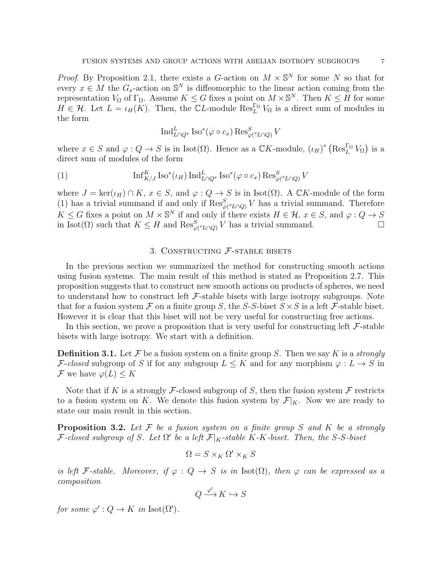*Proof.* By Proposition 2.1, there exists a G-action on  $M \times \mathbb{S}^N$  for some N so that for every  $x \in M$  the  $G_x$ -action on  $\mathbb{S}^N$  is diffeomorphic to the linear action coming from the representation  $V_{\Omega}$  of  $\Gamma_{\Omega}$ . Assume  $K \leq G$  fixes a point on  $M \times \mathbb{S}^{N}$ . Then  $K \leq H$  for some  $H \in \mathcal{H}$ . Let  $L = \iota_H(K)$ . Then, the CL-module  $\operatorname{Res}_{L}^{\Gamma_{\Omega}} V_{\Omega}$  is a direct sum of modules in the form

$$
\operatorname{Ind}_{L\cap Q^x}^L \operatorname{Iso}^*(\varphi \circ c_x) \operatorname{Res}_{\varphi(^xL\cap Q)}^S V
$$

where  $x \in S$  and  $\varphi: Q \to S$  is in Isot( $\Omega$ ). Hence as a  $\mathbb{C}K$ -module,  $(\iota_H)^*$   $(\text{Res}_L^{\Gamma_{\Omega}} V_{\Omega})$  is a direct sum of modules of the form

(1) 
$$
\operatorname{Inf}_{K/J}^K \operatorname{Iso}^*(\iota_H) \operatorname{Ind}_{L \cap Q^x}^L \operatorname{Iso}^*(\varphi \circ c_x) \operatorname{Res}_{\varphi(\mathcal{I}L \cap Q)}^S V
$$

where  $J = \ker(\iota_H) \cap K$ ,  $x \in S$ , and  $\varphi : Q \to S$  is in Isot( $\Omega$ ). A  $\mathbb{C}K$ -module of the form (1) has a trivial summand if and only if  $\operatorname{Res}_{\varphi(z\cup\Gamma)}^S V$  has a trivial summand. Therefore  $K \leq G$  fixes a point on  $M \times \mathbb{S}^N$  if and only if there exists  $H \in \mathcal{H}$ ,  $x \in S$ , and  $\varphi: Q \to S$ in Isot( $\Omega$ ) such that  $K \leq H$  and  $\text{Res}_{\varphi(x_{L} \cap Q)}^S V$  has a trivial summand.

## 3. CONSTRUCTING  $F$ -STABLE BISETS

In the previous section we summarized the method for constructing smooth actions using fusion systems. The main result of this method is stated as Proposition 2.7. This proposition suggests that to construct new smooth actions on products of spheres, we need to understand how to construct left  $\mathcal F$ -stable bisets with large isotropy subgroups. Note that for a fusion system  $\mathcal F$  on a finite group S, the S-S-biset  $S \times S$  is a left  $\mathcal F$ -stable biset. However it is clear that this biset will not be very useful for constructing free actions.

In this section, we prove a proposition that is very useful for constructing left  $\mathcal{F}\text{-stable}$ bisets with large isotropy. We start with a definition.

**Definition 3.1.** Let F be a fusion system on a finite group S. Then we say K is a *strongly* F-closed subgroup of S if for any subgroup  $L \leq K$  and for any morphism  $\varphi: L \to S$  in F we have  $\varphi(L) \leq K$ 

Note that if K is a strongly F-closed subgroup of S, then the fusion system F restricts to a fusion system on K. We denote this fusion system by  $\mathcal{F}|_K$ . Now we are ready to state our main result in this section.

**Proposition 3.2.** Let  $\mathcal F$  be a fusion system on a finite group  $S$  and  $K$  be a strongly F-closed subgroup of S. Let  $\Omega'$  be a left  $\mathcal{F}|_K$ -stable K-K-biset. Then, the S-S-biset

$$
\Omega = S \times_K \Omega' \times_K S
$$

is left F-stable. Moreover, if  $\varphi : Q \to S$  is in Isot( $\Omega$ ), then  $\varphi$  can be expressed as a composition

$$
Q \xrightarrow{\varphi'} K \hookrightarrow S
$$

for some  $\varphi': Q \to K$  in Isot( $\Omega'$ ).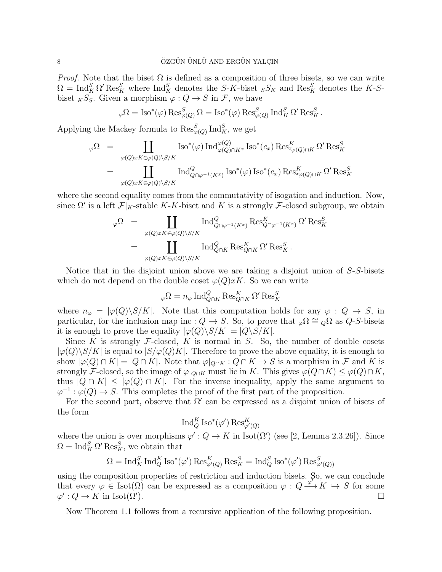*Proof.* Note that the biset  $\Omega$  is defined as a composition of three bisets, so we can write  $\Omega = \text{Ind}_{K}^{S} \Omega' \text{Res}_{K}^{S}$  where  $\text{Ind}_{K}^{S}$  denotes the S-K-biset  $_{S}S_{K}$  and  $\text{Res}_{K}^{S}$  denotes the K-Sbiset  $_KS_S$ . Given a morphism  $\varphi: Q \to S$  in  $\mathcal{F}$ , we have

$$
\varphi\Omega = \text{Iso}^*(\varphi)\,\text{Res}^S_{\varphi(Q)}\,\Omega = \text{Iso}^*(\varphi)\,\text{Res}^S_{\varphi(Q)}\,\text{Ind}^S_K\,\Omega'\,\text{Res}^S_K.
$$

Applying the Mackey formula to  $\operatorname{Res}_{\varphi(Q)}^S \operatorname{Ind}_K^S$ , we get

$$
\varphi\Omega = \coprod_{\varphi(Q)xK\in\varphi(Q)\backslash S/K} \text{Iso}^*(\varphi) \operatorname{Ind}_{\varphi(Q)\cap K^x}^{\varphi(Q)} \text{Iso}^*(c_x) \operatorname{Res}_{x_{\varphi(Q)\cap K}}^K \Omega' \operatorname{Res}_{K}^S
$$

$$
= \coprod_{\varphi(Q)xK\in\varphi(Q)\backslash S/K} \text{Ind}_{Q\cap\varphi^{-1}(K^x)}^Q \text{Iso}^*(\varphi) \operatorname{Iso}^*(c_x) \operatorname{Res}_{x_{\varphi(Q)\cap K}}^K \Omega' \operatorname{Res}_{K}^S
$$

where the second equality comes from the commutativity of isogation and induction. Now, since  $\Omega'$  is a left  $\mathcal{F}|_K$ -stable K-K-biset and K is a strongly F-closed subgroup, we obtain

$$
\varphi\Omega = \coprod_{\varphi(Q)xK\in\varphi(Q)\backslash S/K} \text{Ind}_{Q\cap\varphi^{-1}(K^x)}^Q \text{Res}_{Q\cap\varphi^{-1}(K^x)}^K \Omega' \text{Res}_K^S
$$

$$
= \coprod_{\varphi(Q)xK\in\varphi(Q)\backslash S/K} \text{Ind}_{Q\cap K}^Q \text{Res}_{Q\cap K}^K \Omega' \text{Res}_K^S.
$$

Notice that in the disjoint union above we are taking a disjoint union of  $S-S$ -bisets which do not depend on the double coset  $\varphi(Q)xK$ . So we can write

$$
{}_{\varphi}\Omega=n_{\varphi}\operatorname{Ind}_{Q\cap K}^{Q}\operatorname{Res}_{Q\cap K}^{K}\Omega'\operatorname{Res}_{K}^{S}
$$

where  $n_{\varphi} = |\varphi(Q)\backslash S/K|$ . Note that this computation holds for any  $\varphi : Q \to S$ , in particular, for the inclusion map inc :  $Q \hookrightarrow S$ . So, to prove that  $\phi \Omega \cong Q \Omega$  as  $Q-S$ -bisets it is enough to prove the equality  $|\varphi(Q)\backslash S/K| = |Q\backslash S/K|$ .

Since K is strongly  $\mathcal F$ -closed, K is normal in S. So, the number of double cosets  $|\varphi(Q)\rangle S/K|$  is equal to  $|S/\varphi(Q)K|$ . Therefore to prove the above equality, it is enough to show  $|\varphi(Q) \cap K| = |Q \cap K|$ . Note that  $\varphi|_{Q \cap K} : Q \cap K \to S$  is a morphism in F and K is strongly F-closed, so the image of  $\varphi|_{Q\cap K}$  must lie in K. This gives  $\varphi(Q\cap K) \leq \varphi(Q)\cap K$ , thus  $|Q \cap K| \leq |\varphi(Q) \cap K|$ . For the inverse inequality, apply the same argument to  $\varphi^{-1} : \varphi(Q) \to S$ . This completes the proof of the first part of the proposition.

For the second part, observe that  $\Omega'$  can be expressed as a disjoint union of bisets of the form

$$
\operatorname{Ind}_Q^K\operatorname{Iso}^*(\varphi')\operatorname{Res}_{\varphi'(Q)}^K
$$

where the union is over morphisms  $\varphi': Q \to K$  in Isot $(\Omega')$  (see [2, Lemma 2.3.26]). Since  $\Omega = \text{Ind}_{K}^{S} \Omega' \text{Res}_{K}^{S}$ , we obtain that

$$
\Omega = \operatorname{Ind}_K^S \operatorname{Ind}_Q^K \operatorname{Iso}^*(\varphi') \operatorname{Res}^K_{\varphi'(Q)} \operatorname{Res}^S_K = \operatorname{Ind}_Q^S \operatorname{Iso}^*(\varphi') \operatorname{Res}^S_{\varphi'(Q)}
$$

using the composition properties of restriction and induction bisets. So, we can conclude that every  $\varphi \in \text{Isot}(\Omega)$  can be expressed as a composition  $\varphi: Q \xrightarrow{\varphi'} K \hookrightarrow S$  for some  $\varphi': Q \to K$  in Isot $(\Omega')$  $\Box$ 

Now Theorem 1.1 follows from a recursive application of the following proposition.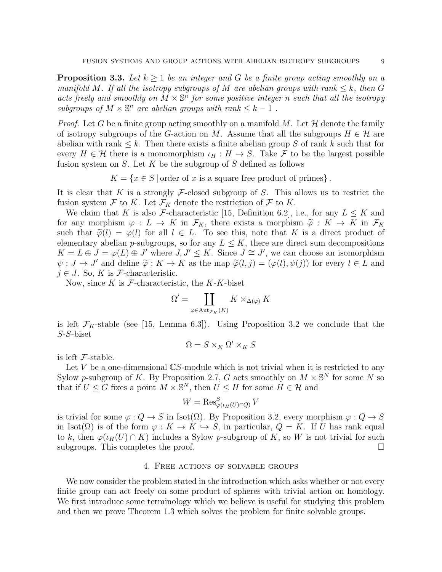**Proposition 3.3.** Let  $k \geq 1$  be an integer and G be a finite group acting smoothly on a manifold M. If all the isotropy subgroups of M are abelian groups with rank  $\leq k$ , then G acts freely and smoothly on  $\tilde{M} \times \mathbb{S}^n$  for some positive integer n such that all the isotropy subgroups of  $M \times \mathbb{S}^n$  are abelian groups with rank  $\leq k-1$ .

*Proof.* Let G be a finite group acting smoothly on a manifold M. Let  $\mathcal H$  denote the family of isotropy subgroups of the G-action on M. Assume that all the subgroups  $H \in \mathcal{H}$  are abelian with rank  $\leq k$ . Then there exists a finite abelian group S of rank k such that for every  $H \in \mathcal{H}$  there is a monomorphism  $\iota_H : H \to S$ . Take F to be the largest possible fusion system on  $S$ . Let  $K$  be the subgroup of  $S$  defined as follows

 $K = \{x \in S \mid \text{order of } x \text{ is a square free product of primes}\}.$ 

It is clear that K is a strongly F-closed subgroup of S. This allows us to restrict the fusion system  $\mathcal F$  to K. Let  $\mathcal F_K$  denote the restriction of  $\mathcal F$  to K.

We claim that K is also F-characteristic [15, Definition 6.2], i.e., for any  $L \leq K$  and for any morphism  $\varphi : L \to K$  in  $\mathcal{F}_K$ , there exists a morphism  $\widetilde{\varphi} : K \to K$  in  $\mathcal{F}_K$ such that  $\tilde{\varphi}(l) = \varphi(l)$  for all  $l \in L$ . To see this, note that K is a direct product of elementary abelian p-subgroups, so for any  $L \leq K$ , there are direct sum decompositions  $K = L \oplus J = \varphi(L) \oplus J'$  where  $J, J' \leq K$ . Since  $J \cong J'$ , we can choose an isomorphism  $\psi : J \to J'$  and define  $\tilde{\varphi} : K \to K$  as the map  $\tilde{\varphi}(l, j) = (\varphi(l), \psi(j))$  for every  $l \in L$  and  $j \in J$  So K is E characteristic  $j \in J$ . So, K is F-characteristic.

Now, since  $K$  is  $\mathcal{F}\text{-characteristic}$ , the  $K-K\text{-}biset$ 

$$
\Omega' = \coprod_{\varphi \in \text{Aut}_{\mathcal{F}_K}(K)} K \times_{\Delta(\varphi)} K
$$

is left  $\mathcal{F}_K$ -stable (see [15, Lemma 6.3]). Using Proposition 3.2 we conclude that the S-S-biset

$$
\Omega = S \times_K \Omega' \times_K S
$$

is left  $\mathcal{F}\text{-stable}$ .

Let  $V$  be a one-dimensional  $\mathbb{C}S$ -module which is not trivial when it is restricted to any Sylow p-subgroup of K. By Proposition 2.7, G acts smoothly on  $M \times \mathbb{S}^N$  for some N so that if  $U \leq G$  fixes a point  $M \times \mathbb{S}^N$ , then  $U \leq H$  for some  $H \in \mathcal{H}$  and

$$
W = \operatorname{Res}_{\varphi(\iota_H(U)\cap Q)}^S V
$$

is trivial for some  $\varphi: Q \to S$  in Isot( $\Omega$ ). By Proposition 3.2, every morphism  $\varphi: Q \to S$ in Isot( $\Omega$ ) is of the form  $\varphi: K \to K \hookrightarrow S$ , in particular,  $Q = K$ . If U has rank equal to k, then  $\varphi(\iota_H(U) \cap K)$  includes a Sylow p-subgroup of K, so W is not trivial for such subgroups. This completes the proof.

## 4. Free actions of solvable groups

We now consider the problem stated in the introduction which asks whether or not every finite group can act freely on some product of spheres with trivial action on homology. We first introduce some terminology which we believe is useful for studying this problem and then we prove Theorem 1.3 which solves the problem for finite solvable groups.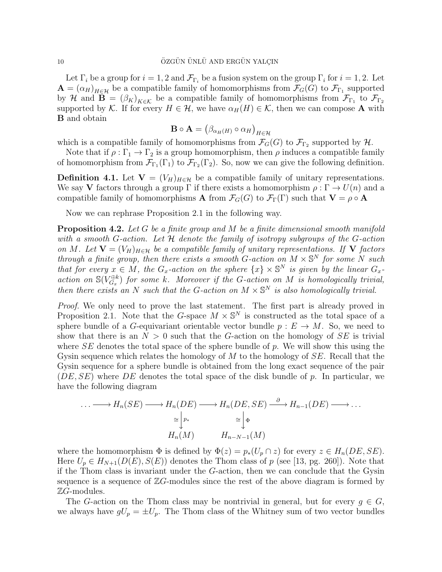Let  $\Gamma_i$  be a group for  $i = 1, 2$  and  $\mathcal{F}_{\Gamma_i}$  be a fusion system on the group  $\Gamma_i$  for  $i = 1, 2$ . Let  $\mathbf{A} = (\alpha_H)_{H \in \mathcal{H}}$  be a compatible family of homomorphisms from  $\mathcal{F}_G(G)$  to  $\mathcal{F}_{\Gamma_1}$  supported by H and  $\mathbf{B} = (\beta_K)_{K \in \mathcal{K}}$  be a compatible family of homomorphisms from  $\mathcal{F}_{\Gamma_1}$  to  $\mathcal{F}_{\Gamma_2}$ supported by K. If for every  $H \in \mathcal{H}$ , we have  $\alpha_H(H) \in \mathcal{K}$ , then we can compose A with B and obtain

$$
\mathbf{B} \circ \mathbf{A} = (\beta_{\alpha_H(H)} \circ \alpha_H)_{H \in \mathcal{H}}
$$

which is a compatible family of homomorphisms from  $\mathcal{F}_G(G)$  to  $\mathcal{F}_{\Gamma_2}$  supported by  $\mathcal{H}$ .

Note that if  $\rho : \Gamma_1 \to \Gamma_2$  is a group homomorphism, then  $\rho$  induces a compatible family of homomorphism from  $\mathcal{F}_{\Gamma_1}(\Gamma_1)$  to  $\mathcal{F}_{\Gamma_2}(\Gamma_2)$ . So, now we can give the following definition.

**Definition 4.1.** Let  $V = (V_H)_{H \in \mathcal{H}}$  be a compatible family of unitary representations. We say **V** factors through a group  $\Gamma$  if there exists a homomorphism  $\rho : \Gamma \to U(n)$  and a compatible family of homomorphisms **A** from  $\mathcal{F}_G(G)$  to  $\mathcal{F}_\Gamma(\Gamma)$  such that  $\mathbf{V} = \rho \circ \mathbf{A}$ 

Now we can rephrase Proposition 2.1 in the following way.

**Proposition 4.2.** Let G be a finite group and M be a finite dimensional smooth manifold with a smooth G-action. Let  $\mathcal H$  denote the family of isotropy subgroups of the G-action on M. Let  $V = (V_H)_{H \in \mathcal{H}}$  be a compatible family of unitary representations. If V factors through a finite group, then there exists a smooth G-action on  $M \times \mathbb{S}^N$  for some N such that for every  $x \in M$ , the  $G_x$ -action on the sphere  $\{x\} \times \mathbb{S}^N$  is given by the linear  $G_x$ action on  $\mathbb{S}(V_{G_n}^{\oplus k})$  $G_{G_x}^{\oplus k}$ ) for some k. Moreover if the G-action on M is homologically trivial, then there exists an N such that the G-action on  $M \times \mathbb{S}^N$  is also homologically trivial.

Proof. We only need to prove the last statement. The first part is already proved in Proposition 2.1. Note that the G-space  $M \times \mathbb{S}^N$  is constructed as the total space of a sphere bundle of a G-equivariant orientable vector bundle  $p: E \to M$ . So, we need to show that there is an  $N > 0$  such that the G-action on the homology of  $SE$  is trivial where  $SE$  denotes the total space of the sphere bundle of p. We will show this using the Gysin sequence which relates the homology of  $M$  to the homology of  $SE$ . Recall that the Gysin sequence for a sphere bundle is obtained from the long exact sequence of the pair  $(DE, SE)$  where DE denotes the total space of the disk bundle of p. In particular, we have the following diagram

$$
\cdots \longrightarrow H_n(SE) \longrightarrow H_n(DE) \longrightarrow H_n(DE, SE) \stackrel{\partial}{\longrightarrow} H_{n-1}(DE) \longrightarrow \cdots
$$

$$
\cong \begin{vmatrix} p_* & \cong \begin{vmatrix} \Phi \\ \Phi \end{vmatrix}
$$

$$
H_n(M) \qquad H_{n-N-1}(M)
$$

where the homomorphism  $\Phi$  is defined by  $\Phi(z) = p_*(U_p \cap z)$  for every  $z \in H_n(DE, SE)$ . Here  $U_p \in H_{N+1}(D(E), S(E))$  denotes the Thom class of p (see [13, pg. 260]). Note that if the Thom class is invariant under the G-action, then we can conclude that the Gysin sequence is a sequence of  $\mathbb{Z}G$ -modules since the rest of the above diagram is formed by  $\mathbb{Z}G$ -modules.

The G-action on the Thom class may be nontrivial in general, but for every  $g \in G$ , we always have  $gU_p = \pm U_p$ . The Thom class of the Whitney sum of two vector bundles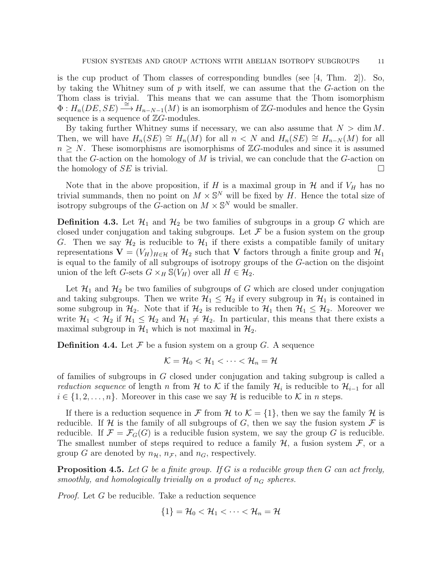is the cup product of Thom classes of corresponding bundles (see  $|4, \text{ Thm. } 2|$ ). So, by taking the Whitney sum of  $p$  with itself, we can assume that the  $G$ -action on the Thom class is trivial. This means that we can assume that the Thom isomorphism  $\Phi: H_n(DE, SE) \stackrel{\sim}{\longrightarrow} H_{n-N-1}(M)$  is an isomorphism of ZG-modules and hence the Gysin sequence is a sequence of  $\mathbb{Z}G$ -modules.

By taking further Whitney sums if necessary, we can also assume that  $N > \dim M$ . Then, we will have  $H_n(SE) \cong H_n(M)$  for all  $n < N$  and  $H_n(SE) \cong H_{n-N}(M)$  for all  $n > N$ . These isomorphisms are isomorphisms of  $\mathbb{Z}G$ -modules and since it is assumed that the G-action on the homology of  $M$  is trivial, we can conclude that the G-action on the homology of  $SE$  is trivial.

Note that in the above proposition, if H is a maximal group in  $\mathcal H$  and if  $V_H$  has no trivial summands, then no point on  $M \times \mathbb{S}^N$  will be fixed by H. Hence the total size of isotropy subgroups of the  $\tilde{G}$ -action on  $M \times \mathbb{S}^N$  would be smaller.

**Definition 4.3.** Let  $\mathcal{H}_1$  and  $\mathcal{H}_2$  be two families of subgroups in a group G which are closed under conjugation and taking subgroups. Let  $\mathcal F$  be a fusion system on the group G. Then we say  $\mathcal{H}_2$  is reducible to  $\mathcal{H}_1$  if there exists a compatible family of unitary representations  $\mathbf{V} = (V_H)_{H \in \mathcal{H}}$  of  $\mathcal{H}_2$  such that V factors through a finite group and  $\mathcal{H}_1$ is equal to the family of all subgroups of isotropy groups of the G-action on the disjoint union of the left G-sets  $G \times_H \mathcal{S}(V_H)$  over all  $H \in \mathcal{H}_2$ .

Let  $\mathcal{H}_1$  and  $\mathcal{H}_2$  be two families of subgroups of G which are closed under conjugation and taking subgroups. Then we write  $\mathcal{H}_1 \leq \mathcal{H}_2$  if every subgroup in  $\mathcal{H}_1$  is contained in some subgroup in  $\mathcal{H}_2$ . Note that if  $\mathcal{H}_2$  is reducible to  $\mathcal{H}_1$  then  $\mathcal{H}_1 \leq \mathcal{H}_2$ . Moreover we write  $\mathcal{H}_1 < \mathcal{H}_2$  if  $\mathcal{H}_1 \leq \mathcal{H}_2$  and  $\mathcal{H}_1 \neq \mathcal{H}_2$ . In particular, this means that there exists a maximal subgroup in  $\mathcal{H}_1$  which is not maximal in  $\mathcal{H}_2$ .

**Definition 4.4.** Let  $\mathcal F$  be a fusion system on a group  $G$ . A sequence

$$
\mathcal{K}=\mathcal{H}_0<\mathcal{H}_1<\cdots<\mathcal{H}_n=\mathcal{H}
$$

of families of subgroups in G closed under conjugation and taking subgroup is called a *reduction sequence* of length n from H to K if the family  $\mathcal{H}_i$  is reducible to  $\mathcal{H}_{i-1}$  for all  $i \in \{1, 2, \ldots, n\}$ . Moreover in this case we say H is reducible to K in n steps.

If there is a reduction sequence in F from H to  $\mathcal{K} = \{1\}$ , then we say the family H is reducible. If H is the family of all subgroups of G, then we say the fusion system  $\mathcal F$  is reducible. If  $\mathcal{F} = \mathcal{F}_G(G)$  is a reducible fusion system, we say the group G is reducible. The smallest number of steps required to reduce a family  $H$ , a fusion system  $F$ , or a group G are denoted by  $n_{\mathcal{H}}, n_{\mathcal{F}},$  and  $n_G$ , respectively.

**Proposition 4.5.** Let G be a finite group. If G is a reducible group then G can act freely, smoothly, and homologically trivially on a product of  $n<sub>G</sub>$  spheres.

Proof. Let G be reducible. Take a reduction sequence

$$
\{1\}=\mathcal{H}_0<\mathcal{H}_1<\cdots<\mathcal{H}_n=\mathcal{H}
$$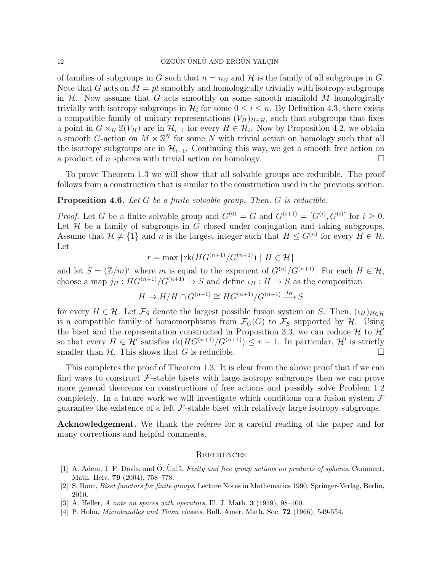of families of subgroups in G such that  $n = n_G$  and H is the family of all subgroups in G. Note that G acts on  $M = pt$  smoothly and homologically trivially with isotropy subgroups in  $H$ . Now assume that G acts smoothly on some smooth manifold M homologically trivially with isotropy subgroups in  $\mathcal{H}_i$  for some  $0 \leq i \leq n$ . By Definition 4.3, there exists a compatible family of unitary representations  $(V_H)_{H \in \mathcal{H}_i}$  such that subgroups that fixes a point in  $G \times_H \mathbb{S}(V_H)$  are in  $\mathcal{H}_{i-1}$  for every  $H \in \mathcal{H}_i$ . Now by Proposition 4.2, we obtain a smooth G-action on  $M \times \mathbb{S}^N$  for some N with trivial action on homology such that all the isotropy subgroups are in  $\mathcal{H}_{i-1}$ . Continuing this way, we get a smooth free action on a product of *n* spheres with trivial action on homology.

To prove Theorem 1.3 we will show that all solvable groups are reducible. The proof follows from a construction that is similar to the construction used in the previous section.

#### **Proposition 4.6.** Let G be a finite solvable group. Then, G is reducible.

*Proof.* Let G be a finite solvable group and  $G^{(0)} = G$  and  $G^{(i+1)} = [G^{(i)}, G^{(i)}]$  for  $i \geq 0$ . Let  $H$  be a family of subgroups in G closed under conjugation and taking subgroups. Assume that  $\mathcal{H} \neq \{1\}$  and n is the largest integer such that  $H \leq G^{(n)}$  for every  $H \in \mathcal{H}$ . Let

$$
r = \max\left\{ \text{rk}(HG^{(n+1)}/G^{(n+1)}) \mid H \in \mathcal{H} \right\}
$$

and let  $S = (\mathbb{Z}/m)^r$  where m is equal to the exponent of  $G^{(n)}/G^{(n+1)}$ . For each  $H \in \mathcal{H}$ , choose a map  $j_H : HG^{(n+1)}/G^{(n+1)} \to S$  and define  $\iota_H : H \to S$  as the composition

$$
H \to H/H \cap G^{(n+1)} \cong HG^{(n+1)}/G^{(n+1)} \xrightarrow{j_H} S
$$

for every  $H \in \mathcal{H}$ . Let  $\mathcal{F}_S$  denote the largest possible fusion system on S. Then,  $(\iota_H)_{H \in \mathcal{H}}$ is a compatible family of homomorphisms from  $\mathcal{F}_G(G)$  to  $\mathcal{F}_S$  supported by H. Using the biset and the representation constructed in Proposition 3.3, we can reduce  $\mathcal{H}$  to  $\mathcal{H}'$ so that every  $H \in \mathcal{H}'$  satisfies  $\text{rk}(HG^{(n+1)}/G^{(n+1)}) \leq r-1$ . In particular,  $\mathcal{H}'$  is strictly smaller than  $\mathcal{H}$ . This shows that G is reducible.

This completes the proof of Theorem 1.3. It is clear from the above proof that if we can find ways to construct  $\mathcal{F}$ -stable bisets with large isotropy subgroups then we can prove more general theorems on constructions of free actions and possibly solve Problem 1.2 completely. In a future work we will investigate which conditions on a fusion system  $\mathcal F$ guarantee the existence of a left  $\mathcal F$ -stable biset with relatively large isotropy subgroups.

Acknowledgement. We thank the referee for a careful reading of the paper and for many corrections and helpful comments.

#### **REFERENCES**

- [1] A. Adem, J. F. Davis, and Ö. Unlü, Fixity and free group actions on products of spheres, Comment. Math. Helv. 79 (2004), 758–778.
- [2] S. Bouc, Biset functors for finite groups, Lecture Notes in Mathematics 1990, Springer-Verlag, Berlin, 2010.
- [3] A. Heller, A note on spaces with operators, Ill. J. Math. 3 (1959), 98–100.
- [4] P. Holm, *Microbundles and Thom classes*, Bull. Amer. Math. Soc. **72** (1966), 549-554.